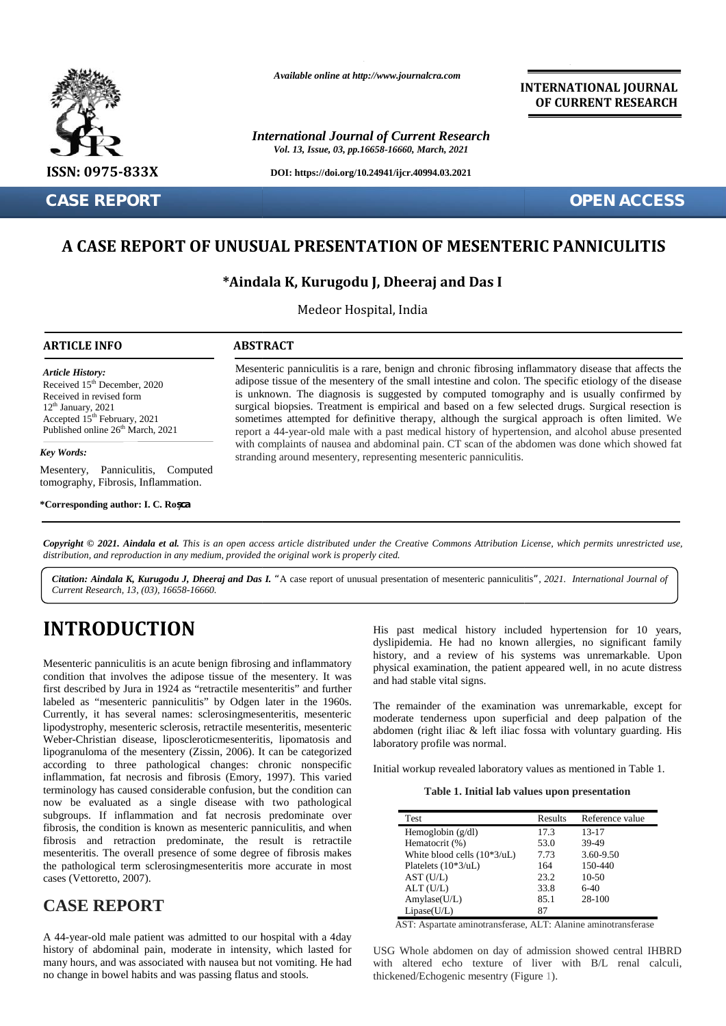

**CASE REPORT OPEN ACCESS**

*Available online at http://www.journalcra.com*

*International Journal of Current Research Vol. 13, Issue, 03, pp.16658-16660, March, 2021*

**DOI: https://doi.org/10.24941/ijcr.40994.03.2021**

**INTERNATIONAL JOURNAL OF CURRENT RESEARCH**

## **A CASE REPORT OF UNUSUAL PRESENTATION OF MESENTERIC PANNICULITIS OF**

## **\*Aindala K, Kurugodu J, Dheeraj and Das I J, Dheeraj**

Medeor Hospital, India

### **ARTICLE INFO ABSTRACT ARTICLE ABSTRACT**

*Article History: Article History:* Received  $15<sup>th</sup>$  December, 2020 Received 15 December, 2020<br>Received in revised form  $12<sup>th</sup>$  January, 2021 Received in revised form<br>  $12<sup>th</sup> January, 2021$ <br>
Recepted 15<sup>th</sup> February, 2021 Published online  $26<sup>th</sup>$  March, 2021

*Key Words:* Mesentery, Panniculitis, Computed tomography, Fibrosis, Inflammation.

**\*Corresponding author: I. C. Roșca**

Mesenteric panniculitis is a rare, benign and chronic fibrosing inflammatory disease that affects the Mesenteric panniculitis is a rare, benign and chronic fibrosing inflammatory disease that affects the adipose tissue of the mesentery of the small intestine and colon. The specific etiology of the disease is unknown. The diagnosis is suggested by computed tomography and is usually confirmed by surgical biopsies. Treatment is empirical and based on a few selected drugs. Surgical resection is is unknown. The diagnosis is suggested by computed tomography and is usually confirmed by surgical biopsies. Treatment is empirical and based on a few selected drugs. Surgical resection is sometimes attempted for definitiv report a 44-year-old male with a past medical history of hypertension, and alcohol abuse presented report a 44-year-old male with a past medical history of hypertension, and alcohol abuse presented<br>with complaints of nausea and abdominal pain. CT scan of the abdomen was done which showed fat stranding around mesentery, representing mesenteric panniculitis. **EXECT CORPORANT CONSUMPED ACCESS**<br> **A CASE REPORT OF UNUSUAL PRESENTATION OF MESENTERIC PANNICULITIS**<br> **\*Aindala K, Kurugodu J, Dheeraj and Das I**<br> **ARTICLE INFO**<br> **ARTICLE INFO**<br> **ARTICLE INFO**<br> **ARTICLE INFO**<br> **ARTICLE 1200** adipose tissue of the mesentery of the small intestine and colon. The specific etiology or is unknown. The diagnosis is uggested by computed tomography and is usually cy, 2021 surgical biopsies. Treatment is empiric The method of the method is unknown. The diagnosis is suggested by computed tomography and is<br>the pecific is unknown. The diagnosis is suggested by computed tomography and is<br>the surgical biopsies. Treatment is empirical a

**Copyright © 2021. Aindala et al.** This is an open access article distributed under the Creative Commons Attribution License, which permits unrestricted use,<br>distribution, and reproduction in any medium, provided the origi *distribution, and reproduction in any medium, provided the original work is properly cited.*

*Citation: Aindala K, Kurugodu J, Dheeraj and Das I. "*A case report of unusual presentation of mesenteric panniculitis*", 2021. International Journal of Current Research, 13, (03), 16658-16660.*

# **INTRODUCTION INTRODUCTION**

Mesenteric panniculitis is an acute benign fibrosing and inflammatory  $h_{\text{phys}}$ condition that involves the adipose tissue of the mesentery. It was  $\frac{1}{2}$ condition that involves the adipose tissue of the mesentery. It was  $\frac{r}{a}$  first described by Jura in 1924 as "retractile mesenteritis" and further labeled as "mesenteric panniculitis" by Odgen later in the 1960s. Currently, it has several names: sclerosingmesenteritis, mesenteric lipodystrophy, mesenteric sclerosis, retractile mesenteritis, mesenteric abo Weber-Christian disease, liposcleroticmesenteritis, lipomatosis and lipogranuloma of the mesentery (Zissin, 2006). It can be categorized according to three pathological changes: chronic nonspecific inflammation, fat necrosis and fibrosis (Emory, 1997). This varied terminology has caused considerable confusion, but the condition can now be evaluated as a single disease with two pathological subgroups. If inflammation and fat necrosis predominate over fibrosis, the condition is known as mesenteric panniculitis, and when fibrosis and retraction predominate, the result is retractile mesenteritis. The overall presence of some degree of fibrosis makes the pathological term sclerosingmesenteritis more accurate in most cases (Vettoretto, 2007). Currently, it has several names: sclerosingmesenteritis, mesenteric modifiedly mesenteric sclerosis, retractile mesenteritis, mesenteric abdomenderic Weber-Christian disease, liposclerotic mesenteritis, lipomatosis and lip according to three pathological changes: chronic nonspecific inflammation, fat necrosis and fibrosis (Emory, 1997). This varied terminology has caused considerable confusion, but the condition can now be evaluated as a sin fibrosis and retraction predominate, the result is retractilemesenteritis. The overall presence of some degree of fibrosis makes the pathological term sclerosing mesenteritis more accurate in most cases (Vettoretto, 2007). November 19 (1998) and Hispania and Hispania and Historic Figure 19 (1998) and Hispania and Hispania and Hispania and Hispania and Hispania and Hispania and Hispania and Hispania and Hispania and Hispania and Hispania and ouclinesenterius, incomatosis and<br>
issin, 2006). It can be categorized<br>
changes: chronic nonspecific<br>
confusion, but the condition can<br>
disease with two pathological<br>
fat necrosis predominate over<br>
mesenteric panniculitis

# **CASE REPORT CASE**

A 44-year-old male patient was admitted to our hospital with a 4day history of abdominal pain, moderate in intensity, which lasted for many hours, and was associated with nausea but not vomiting. He had no change in bowel habits and was passing flatus and stools. A 44-year-old male patient was admitted to our hospital with a 4day<br>history of abdominal pain, moderate in intensity, which lasted for USC<br>many hours, and was associated with nausea but not vomiting. He had with

His past medical history included hypertension for 10 years, dyslipidemia. He had no known allergies, no significant family history, and a review of his systems was unremarkable. Upon physical examination, the patient appeared well, in no acute distress and had stable vital signs.

The remainder of the examination was unremarkable, except for moderate tenderness upon superficial and deep palpation of the abdomen (right iliac & left iliac fossa with voluntary guarding. His laboratory profile was normal.

Initial workup revealed laboratory values as mentioned in Table 1*.*

**Table 1. Initial lab values upon presentation**

| <b>Test</b>                   | Results | Reference value |
|-------------------------------|---------|-----------------|
| Hemoglobin $(g/dl)$           | 17.3    | $13 - 17$       |
| Hematocrit (%)                | 53.0    | 39-49           |
| White blood cells $(10*3/uL)$ | 7.73    | 3.60-9.50       |
| Platelets $(10*3/uL)$         | 164     | 150-440         |
| AST (U/L)                     | 23.2    | $10-50$         |
| ALT (U/L)                     | 33.8    | $6-40$          |
| Amylase(U/L)                  | 85.1    | 28-100          |
| Lipase(U/L)                   | 87      |                 |

AST: Aspartate aminotransferase, ALT: Alanine aminotransferase

USG Whole abdomen on day of admission showed central IHBRD with altered echo texture of liver with B/L renal calculi, thickened/Echogenic mesentry (Figure 1).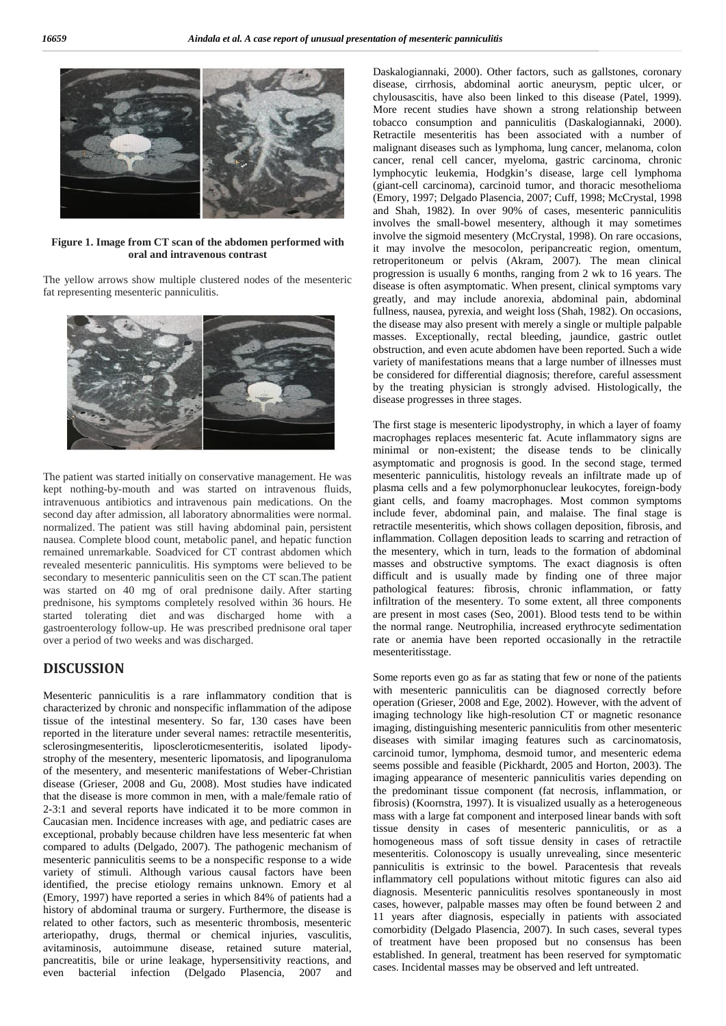

**Figure 1. Image from CT scan of the abdomen performed with oral and intravenous contrast**

The yellow arrows show multiple clustered nodes of the mesenteric fat representing mesenteric panniculitis.



The patient was started initially on conservative management. He was kept nothing-by-mouth and was started on intravenous fluids, intravenuous antibiotics and intravenous pain medications. On the second day after admission, all laboratory abnormalities were normal. normalized. The patient was still having abdominal pain, persistent nausea. Complete blood count, metabolic panel, and hepatic function remained unremarkable. Soadviced for CT contrast abdomen which revealed mesenteric panniculitis. His symptoms were believed to be secondary to mesenteric panniculitis seen on the CT scan.The patient was started on 40 mg of oral prednisone daily. After starting prednisone, his symptoms completely resolved within 36 hours. He started tolerating diet and was discharged home with a gastroenterology follow-up. He was prescribed prednisone oral taper over a period of two weeks and was discharged.

## **DISCUSSION**

Mesenteric panniculitis is a rare inflammatory condition that is characterized by chronic and nonspecific inflammation of the adipose tissue of the intestinal mesentery. So far, 130 cases have been reported in the literature under several names: retractile mesenteritis, sclerosingmesenteritis, liposcleroticmesenteritis, isolated lipody strophy of the mesentery, mesenteric lipomatosis, and lipogranuloma of the mesentery, and mesenteric manifestations of Weber-Christian disease (Grieser, 2008 and Gu, 2008). Most studies have indicated that the disease is more common in men, with a male/female ratio of 2-3:1 and several reports have indicated it to be more common in Caucasian men. Incidence increases with age, and pediatric cases are exceptional, probably because children have less mesenteric fat when compared to adults (Delgado, 2007). The pathogenic mechanism of mesenteric panniculitis seems to be a nonspecific response to a wide variety of stimuli. Although various causal factors have been identified, the precise etiology remains unknown. Emory et al (Emory, 1997) have reported a series in which 84% of patients had a history of abdominal trauma or surgery. Furthermore, the disease is related to other factors, such as mesenteric thrombosis, mesenteric arteriopathy, drugs, thermal or chemical injuries, vasculitis, avitaminosis, autoimmune disease, retained suture material, pancreatitis, bile or urine leakage, hypersensitivity reactions, and even bacterial infection (Delgado Plasencia, 2007 and Daskalogiannaki, 2000). Other factors, such as gallstones, coronary disease, cirrhosis, abdominal aortic aneurysm, peptic ulcer, or chylousascitis, have also been linked to this disease (Patel, 1999). More recent studies have shown a strong relationship between tobacco consumption and panniculitis (Daskalogiannaki, 2000). Retractile mesenteritis has been associated with a number of malignant diseases such as lymphoma, lung cancer, melanoma, colon cancer, renal cell cancer, myeloma, gastric carcinoma, chronic lymphocytic leukemia, Hodgkin's disease, large cell lymphoma (giant-cell carcinoma), carcinoid tumor, and thoracic mesothelioma (Emory, 1997; Delgado Plasencia, 2007; Cuff, 1998; McCrystal, 1998 and Shah, 1982). In over 90% of cases, mesenteric panniculitis involves the small-bowel mesentery, although it may sometimes involve the sigmoid mesentery (McCrystal, 1998). On rare occasions, it may involve the mesocolon, peripancreatic region, omentum, retroperitoneum or pelvis (Akram, 2007). The mean clinical progression is usually 6 months, ranging from 2 wk to 16 years. The disease is often asymptomatic. When present, clinical symptoms vary greatly, and may include anorexia, abdominal pain, abdominal fullness, nausea, pyrexia, and weight loss (Shah, 1982). On occasions, the disease may also present with merely a single or multiple palpable masses. Exceptionally, rectal bleeding, jaundice, gastric outlet obstruction, and even acute abdomen have been reported. Such a wide variety of manifestations means that a large number of illnesses must be considered for differential diagnosis; therefore, careful assessment by the treating physician is strongly advised. Histologically, the disease progresses in three stages.

The first stage is mesenteric lipodystrophy, in which a layer of foamy macrophages replaces mesenteric fat. Acute inflammatory signs are minimal or non-existent; the disease tends to be clinically asymptomatic and prognosis is good. In the second stage, termed mesenteric panniculitis, histology reveals an infiltrate made up of plasma cells and a few polymorphonuclear leukocytes, foreign-body giant cells, and foamy macrophages. Most common symptoms include fever, abdominal pain, and malaise. The final stage is retractile mesenteritis, which shows collagen deposition, fibrosis, and inflammation. Collagen deposition leads to scarring and retraction of the mesentery, which in turn, leads to the formation of abdominal masses and obstructive symptoms. The exact diagnosis is often difficult and is usually made by finding one of three major pathological features: fibrosis, chronic inflammation, or fatty infiltration of the mesentery. To some extent, all three components are present in most cases (Seo, 2001). Blood tests tend to be within the normal range. Neutrophilia, increased erythrocyte sedimentation rate or anemia have been reported occasionally in the retractile mesenteritisstage.

Some reports even go as far as stating that few or none of the patients with mesenteric panniculitis can be diagnosed correctly before operation (Grieser, 2008 and Ege, 2002). However, with the advent of imaging technology like high-resolution CT or magnetic resonance imaging, distinguishing mesenteric panniculitis from other mesenteric diseases with similar imaging features such as carcinomatosis, carcinoid tumor, lymphoma, desmoid tumor, and mesenteric edema seems possible and feasible (Pickhardt, 2005 and Horton, 2003). The imaging appearance of mesenteric panniculitis varies depending on the predominant tissue component (fat necrosis, inflammation, or fibrosis) (Koornstra, 1997). It is visualized usually as a heterogeneous mass with a large fat component and interposed linear bands with soft tissue density in cases of mesenteric panniculitis, or as a homogeneous mass of soft tissue density in cases of retractile mesenteritis. Colonoscopy is usually unrevealing, since mesenteric panniculitis is extrinsic to the bowel. Paracentesis that reveals inflammatory cell populations without mitotic figures can also aid diagnosis. Mesenteric panniculitis resolves spontaneously in most cases, however, palpable masses may often be found between 2 and 11 years after diagnosis, especially in patients with associated comorbidity (Delgado Plasencia, 2007). In such cases, several types of treatment have been proposed but no consensus has been established. In general, treatment has been reserved for symptomatic cases. Incidental masses may be observed and left untreated.